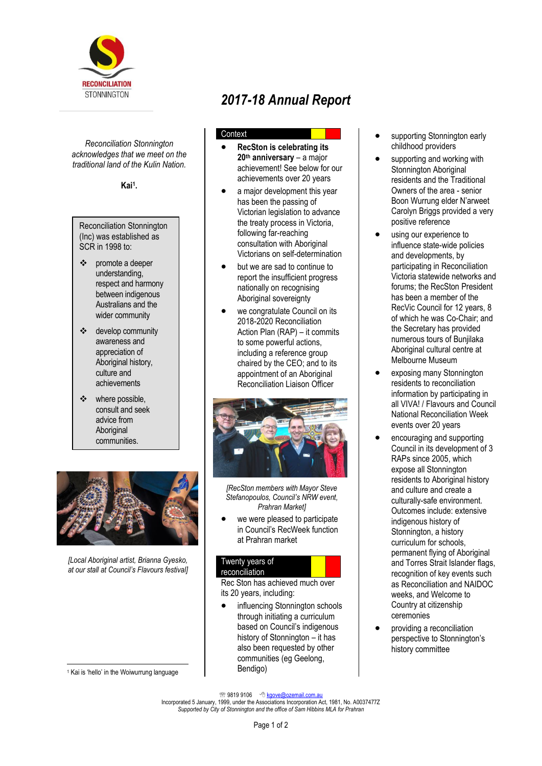

*Reconciliation Stonnington acknowledges that we meet on the traditional land of the Kulin Nation.*

**Kai<sup>1</sup> .**

## Reconciliation Stonnington (Inc) was established as SCR in 1998 to:

- promote a deeper understanding, respect and harmony between indigenous Australians and the wider community
- ❖ develop community awareness and appreciation of Aboriginal history, culture and achievements
- ❖ where possible, consult and seek advice from Aboriginal communities.



*[Local Aboriginal artist, Brianna Gyesko, at our stall at Council's Flavours festival]*

l <sup>1</sup> Kai is 'hello' in the Woiwurrung language

# *2017-18 Annual Report*

## **Context**

- **RecSton is celebrating its 20th anniversary** – a major achievement! See below for our achievements over 20 years
- a major development this year has been the passing of Victorian legislation to advance the treaty process in Victoria, following far-reaching consultation with Aboriginal Victorians on self-determination
- but we are sad to continue to report the insufficient progress nationally on recognising Aboriginal sovereignty
- we congratulate Council on its 2018-2020 Reconciliation Action Plan (RAP) – it commits to some powerful actions, including a reference group chaired by the CEO; and to its appointment of an Aboriginal Reconciliation Liaison Officer



*[RecSton members with Mayor Steve Stefanopoulos, Council's NRW event, Prahran Market]*

we were pleased to participate in Council's RecWeek function at Prahran market

## Twenty years of

## reconciliation

Rec Ston has achieved much over its 20 years, including:

influencing Stonnington schools through initiating a curriculum based on Council's indigenous history of Stonnington – it has also been requested by other communities (eg Geelong, Bendigo)

- supporting Stonnington early childhood providers
- supporting and working with Stonnington Aboriginal residents and the Traditional Owners of the area - senior Boon Wurrung elder N'arweet Carolyn Briggs provided a very positive reference
- using our experience to influence state-wide policies and developments, by participating in Reconciliation Victoria statewide networks and forums; the RecSton President has been a member of the RecVic Council for 12 years, 8 of which he was Co-Chair; and the Secretary has provided numerous tours of Bunjilaka Aboriginal cultural centre at Melbourne Museum
- exposing many Stonnington residents to reconciliation information by participating in all VIVA! / Flavours and Council National Reconciliation Week events over 20 years
- encouraging and supporting Council in its development of 3 RAPs since 2005, which expose all Stonnington residents to Aboriginal history and culture and create a culturally-safe environment. Outcomes include: extensive indigenous history of Stonnington, a history curriculum for schools, permanent flying of Aboriginal and Torres Strait Islander flags, recognition of key events such as Reconciliation and NAIDOC weeks, and Welcome to Country at citizenship ceremonies
- providing a reconciliation perspective to Stonnington's history committee

<sup>2</sup> 9819 9106 <sup>9</sup> kgove@ozemail.com.au

Incorporated 5 January, 1999, under the Associations Incorporation Act, 1981, No. A0037477Z *Supported by City of Stonnington and the office of Sam Hibbins MLA for Prahran*